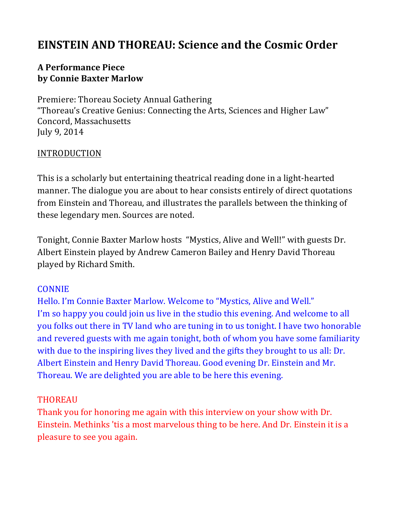# **EINSTEIN AND THOREAU: Science and the Cosmic Order**

### **A Performance Piece by Connie Baxter Marlow**

Premiere: Thoreau Society Annual Gathering "Thoreau's Creative Genius: Connecting the Arts, Sciences and Higher Law" Concord, Massachusetts July 9, 2014

#### **INTRODUCTION**

This is a scholarly but entertaining theatrical reading done in a light-hearted manner. The dialogue you are about to hear consists entirely of direct quotations from Einstein and Thoreau, and illustrates the parallels between the thinking of these legendary men. Sources are noted.

Tonight, Connie Baxter Marlow hosts "Mystics, Alive and Well!" with guests Dr. Albert Einstein played by Andrew Cameron Bailey and Henry David Thoreau played by Richard Smith.

#### CONNIE

Hello. I'm Connie Baxter Marlow. Welcome to "Mystics, Alive and Well." I'm so happy you could join us live in the studio this evening. And welcome to all you folks out there in TV land who are tuning in to us tonight. I have two honorable and revered guests with me again tonight, both of whom you have some familiarity with due to the inspiring lives they lived and the gifts they brought to us all: Dr. Albert Einstein and Henry David Thoreau. Good evening Dr. Einstein and Mr. Thoreau. We are delighted you are able to be here this evening.

#### THOREAU

Thank you for honoring me again with this interview on your show with Dr. Einstein. Methinks 'tis a most marvelous thing to be here. And Dr. Einstein it is a pleasure to see you again.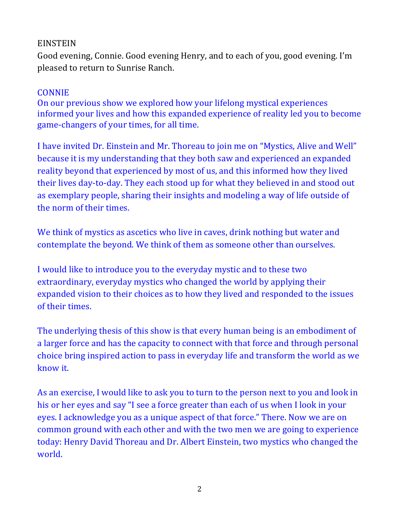#### EINSTEIN

Good evening, Connie. Good evening Henry, and to each of you, good evening. I'm pleased to return to Sunrise Ranch.

#### **CONNIE**

On our previous show we explored how your lifelong mystical experiences informed your lives and how this expanded experience of reality led you to become game-changers of your times, for all time.

I have invited Dr. Einstein and Mr. Thoreau to join me on "Mystics, Alive and Well" because it is my understanding that they both saw and experienced an expanded reality beyond that experienced by most of us, and this informed how they lived their lives day-to-day. They each stood up for what they believed in and stood out as exemplary people, sharing their insights and modeling a way of life outside of the norm of their times.

We think of mystics as ascetics who live in caves, drink nothing but water and contemplate the beyond. We think of them as someone other than ourselves.

I would like to introduce you to the everyday mystic and to these two extraordinary, everyday mystics who changed the world by applying their expanded vision to their choices as to how they lived and responded to the issues of their times.

The underlying thesis of this show is that every human being is an embodiment of a larger force and has the capacity to connect with that force and through personal choice bring inspired action to pass in everyday life and transform the world as we know it.

As an exercise, I would like to ask you to turn to the person next to you and look in his or her eyes and say "I see a force greater than each of us when I look in your eyes. I acknowledge you as a unique aspect of that force." There. Now we are on common ground with each other and with the two men we are going to experience today: Henry David Thoreau and Dr. Albert Einstein, two mystics who changed the world.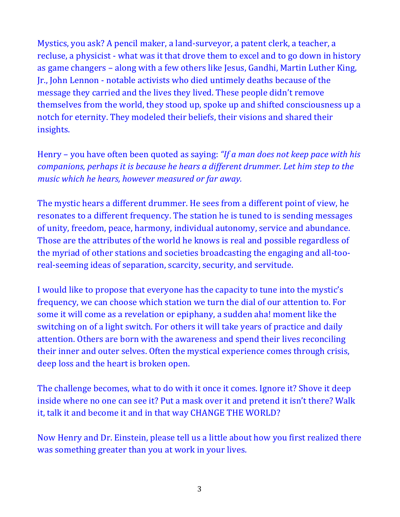Mystics, you ask? A pencil maker, a land-surveyor, a patent clerk, a teacher, a recluse, a physicist - what was it that drove them to excel and to go down in history as game changers – along with a few others like Jesus, Gandhi, Martin Luther King, Ir., John Lennon - notable activists who died untimely deaths because of the message they carried and the lives they lived. These people didn't remove themselves from the world, they stood up, spoke up and shifted consciousness up a notch for eternity. They modeled their beliefs, their visions and shared their insights.

Henry – you have often been quoted as saying: *"If a man does not keep pace with his companions, perhaps it is because he hears a different drummer. Let him step to the music* which he hears, however measured or far away.

The mystic hears a different drummer. He sees from a different point of view, he resonates to a different frequency. The station he is tuned to is sending messages of unity, freedom, peace, harmony, individual autonomy, service and abundance. Those are the attributes of the world he knows is real and possible regardless of the myriad of other stations and societies broadcasting the engaging and all-tooreal-seeming ideas of separation, scarcity, security, and servitude.

I would like to propose that everyone has the capacity to tune into the mystic's frequency, we can choose which station we turn the dial of our attention to. For some it will come as a revelation or epiphany, a sudden aha! moment like the switching on of a light switch. For others it will take years of practice and daily attention. Others are born with the awareness and spend their lives reconciling their inner and outer selves. Often the mystical experience comes through crisis, deep loss and the heart is broken open.

The challenge becomes, what to do with it once it comes. Ignore it? Shove it deep inside where no one can see it? Put a mask over it and pretend it isn't there? Walk it, talk it and become it and in that way CHANGE THE WORLD?

Now Henry and Dr. Einstein, please tell us a little about how you first realized there was something greater than you at work in your lives.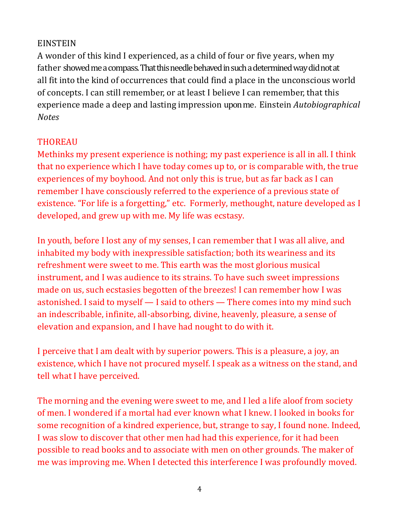#### EINSTEIN

A wonder of this kind I experienced, as a child of four or five years, when my father showed me a compass. That this needle behaved in such a determined way did not at all fit into the kind of occurrences that could find a place in the unconscious world of concepts. I can still remember, or at least I believe I can remember, that this experience made a deep and lasting impression upon me. Einstein *Autobiographical Notes*

## THOREAU

Methinks my present experience is nothing; my past experience is all in all. I think that no experience which I have today comes up to, or is comparable with, the true experiences of my boyhood. And not only this is true, but as far back as I can remember I have consciously referred to the experience of a previous state of existence. "For life is a forgetting," etc. Formerly, methought, nature developed as I developed, and grew up with me. My life was ecstasy.

In youth, before I lost any of my senses, I can remember that I was all alive, and inhabited my body with inexpressible satisfaction; both its weariness and its refreshment were sweet to me. This earth was the most glorious musical instrument, and I was audience to its strains. To have such sweet impressions made on us, such ecstasies begotten of the breezes! I can remember how I was astonished. I said to myself  $-$  I said to others  $-$  There comes into my mind such an indescribable, infinite, all-absorbing, divine, heavenly, pleasure, a sense of elevation and expansion, and I have had nought to do with it.

I perceive that I am dealt with by superior powers. This is a pleasure, a joy, an existence, which I have not procured myself. I speak as a witness on the stand, and tell what I have perceived.

The morning and the evening were sweet to me, and I led a life aloof from society of men. I wondered if a mortal had ever known what I knew. I looked in books for some recognition of a kindred experience, but, strange to say, I found none. Indeed, I was slow to discover that other men had had this experience, for it had been possible to read books and to associate with men on other grounds. The maker of me was improving me. When I detected this interference I was profoundly moved.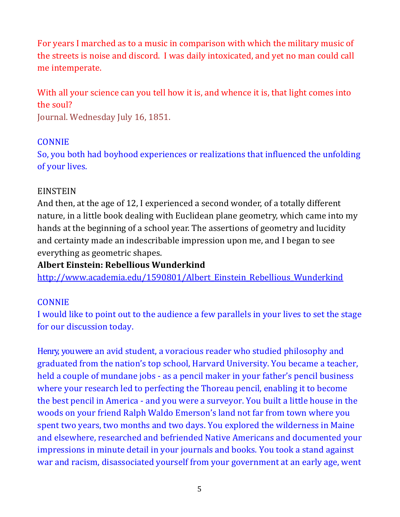For years I marched as to a music in comparison with which the military music of the streets is noise and discord. I was daily intoxicated, and yet no man could call me intemperate.

With all your science can you tell how it is, and whence it is, that light comes into the soul?

Journal. Wednesday July 16, 1851.

## **CONNIE**

So, you both had boyhood experiences or realizations that influenced the unfolding of your lives.

## EINSTEIN

And then, at the age of 12, I experienced a second wonder, of a totally different nature, in a little book dealing with Euclidean plane geometry, which came into my hands at the beginning of a school year. The assertions of geometry and lucidity and certainty made an indescribable impression upon me, and I began to see everything as geometric shapes.

## **Albert Einstein: Rebellious Wunderkind**

http://www.academia.edu/1590801/Albert\_Einstein\_Rebellious\_Wunderkind

## **CONNIE**

I would like to point out to the audience a few parallels in your lives to set the stage for our discussion today.

Henry, you were an avid student, a voracious reader who studied philosophy and graduated from the nation's top school, Harvard University. You became a teacher, held a couple of mundane jobs - as a pencil maker in your father's pencil business where your research led to perfecting the Thoreau pencil, enabling it to become the best pencil in America - and you were a surveyor. You built a little house in the woods on your friend Ralph Waldo Emerson's land not far from town where you spent two years, two months and two days. You explored the wilderness in Maine and elsewhere, researched and befriended Native Americans and documented your impressions in minute detail in your journals and books. You took a stand against war and racism, disassociated yourself from your government at an early age, went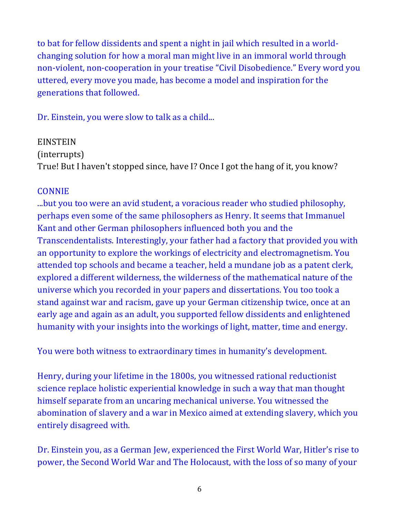to bat for fellow dissidents and spent a night in jail which resulted in a worldchanging solution for how a moral man might live in an immoral world through non-violent, non-cooperation in your treatise "Civil Disobedience." Every word you uttered, every move you made, has become a model and inspiration for the generations that followed.

Dr. Einstein, you were slow to talk as a child...

EINSTEIN (interrupts) True! But I haven't stopped since, have I? Once I got the hang of it, you know?

## **CONNIE**

...but you too were an avid student, a voracious reader who studied philosophy, perhaps even some of the same philosophers as Henry. It seems that Immanuel Kant and other German philosophers influenced both you and the Transcendentalists. Interestingly, your father had a factory that provided you with an opportunity to explore the workings of electricity and electromagnetism. You attended top schools and became a teacher, held a mundane job as a patent clerk, explored a different wilderness, the wilderness of the mathematical nature of the universe which you recorded in your papers and dissertations. You too took a stand against war and racism, gave up your German citizenship twice, once at an early age and again as an adult, you supported fellow dissidents and enlightened humanity with your insights into the workings of light, matter, time and energy.

You were both witness to extraordinary times in humanity's development.

Henry, during your lifetime in the 1800s, you witnessed rational reductionist science replace holistic experiential knowledge in such a way that man thought himself separate from an uncaring mechanical universe. You witnessed the abomination of slavery and a war in Mexico aimed at extending slavery, which you entirely disagreed with.

Dr. Einstein you, as a German Jew, experienced the First World War, Hitler's rise to power, the Second World War and The Holocaust, with the loss of so many of your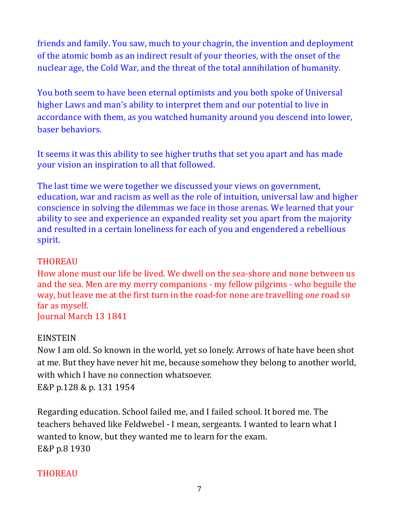friends and family. You saw, much to your chagrin, the invention and deployment of the atomic bomb as an indirect result of your theories, with the onset of the nuclear age, the Cold War, and the threat of the total annihilation of humanity.

You both seem to have been eternal optimists and you both spoke of Universal higher Laws and man's ability to interpret them and our potential to live in accordance with them, as you watched humanity around you descend into lower, baser behaviors. 

It seems it was this ability to see higher truths that set you apart and has made your vision an inspiration to all that followed.

The last time we were together we discussed your views on government, education, war and racism as well as the role of intuition, universal law and higher conscience in solving the dilemmas we face in those arenas. We learned that your ability to see and experience an expanded reality set you apart from the majority and resulted in a certain loneliness for each of you and engendered a rebellious spirit.

## THOREAU

How alone must our life be lived. We dwell on the sea-shore and none between us and the sea. Men are my merry companions - my fellow pilgrims - who beguile the way, but leave me at the first turn in the road-for none are travelling *one* road so far as myself. **Journal March 13 1841** 

#### **EINSTEIN**

Now I am old. So known in the world, yet so lonely. Arrows of hate have been shot at me. But they have never hit me, because somehow they belong to another world, with which I have no connection whatsoever. E&P p.128 & p. 131 1954

Regarding education. School failed me, and I failed school. It bored me. The teachers behaved like Feldwebel - I mean, sergeants. I wanted to learn what I wanted to know, but they wanted me to learn for the exam. E&P p.8 1930

## THOREAU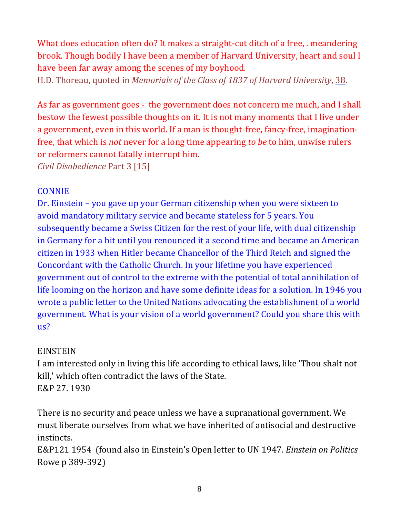What does education often do? It makes a straight-cut ditch of a free, . meandering brook. Though bodily I have been a member of Harvard University, heart and soul I have been far away among the scenes of my boyhood.

H.D. Thoreau, quoted in *Memorials of the Class of 1837 of Harvard University*, 38.

As far as government goes - the government does not concern me much, and I shall bestow the fewest possible thoughts on it. It is not many moments that I live under a government, even in this world. If a man is thought-free, fancy-free, imaginationfree, that which is *not* never for a long time appearing *to be* to him, unwise rulers or reformers cannot fatally interrupt him.

*Civil Disobedience* Part 3 [15]

## **CONNIE**

Dr. Einstein – you gave up your German citizenship when you were sixteen to avoid mandatory military service and became stateless for 5 years. You subsequently became a Swiss Citizen for the rest of your life, with dual citizenship in Germany for a bit until you renounced it a second time and became an American citizen in 1933 when Hitler became Chancellor of the Third Reich and signed the Concordant with the Catholic Church. In your lifetime you have experienced government out of control to the extreme with the potential of total annihilation of life looming on the horizon and have some definite ideas for a solution. In 1946 you wrote a public letter to the United Nations advocating the establishment of a world government. What is your vision of a world government? Could you share this with us?

## EINSTEIN

I am interested only in living this life according to ethical laws, like 'Thou shalt not kill,' which often contradict the laws of the State. E&P 27. 1930

There is no security and peace unless we have a supranational government. We must liberate ourselves from what we have inherited of antisocial and destructive instincts. 

E&P121 1954 (found also in Einstein's Open letter to UN 1947. *Einstein on Politics* Rowe p 389-392)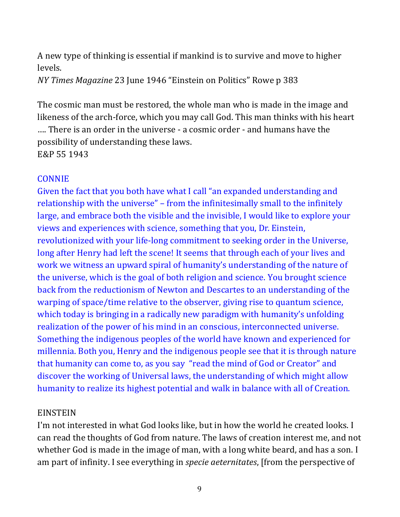A new type of thinking is essential if mankind is to survive and move to higher levels.

*NY Times Magazine* 23 June 1946 "Einstein on Politics" Rowe p 383

The cosmic man must be restored, the whole man who is made in the image and likeness of the arch-force, which you may call God. This man thinks with his heart .... There is an order in the universe - a cosmic order - and humans have the possibility of understanding these laws. E&P 55 1943

### **CONNIE**

Given the fact that you both have what I call "an expanded understanding and relationship with the universe" - from the infinitesimally small to the infinitely large, and embrace both the visible and the invisible, I would like to explore your views and experiences with science, something that you, Dr. Einstein, revolutionized with your life-long commitment to seeking order in the Universe, long after Henry had left the scene! It seems that through each of your lives and work we witness an upward spiral of humanity's understanding of the nature of the universe, which is the goal of both religion and science. You brought science back from the reductionism of Newton and Descartes to an understanding of the warping of space/time relative to the observer, giving rise to quantum science, which today is bringing in a radically new paradigm with humanity's unfolding realization of the power of his mind in an conscious, interconnected universe. Something the indigenous peoples of the world have known and experienced for millennia. Both you, Henry and the indigenous people see that it is through nature that humanity can come to, as you say "read the mind of God or Creator" and discover the working of Universal laws, the understanding of which might allow humanity to realize its highest potential and walk in balance with all of Creation.

#### EINSTEIN

I'm not interested in what God looks like, but in how the world he created looks. I can read the thoughts of God from nature. The laws of creation interest me, and not whether God is made in the image of man, with a long white beard, and has a son. I am part of infinity. I see everything in *specie aeternitates*, [from the perspective of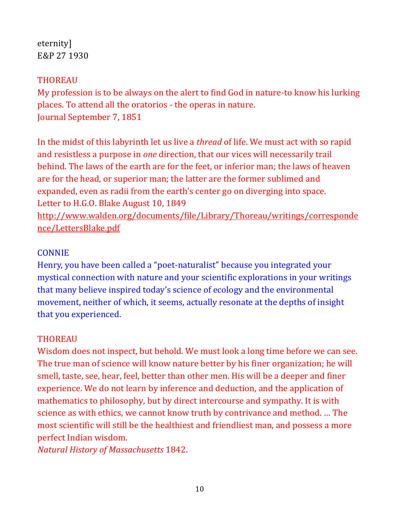eternity] E&P 27 1930

### THOREAU

My profession is to be always on the alert to find God in nature-to know his lurking places. To attend all the oratorios - the operas in nature. Journal September 7, 1851

In the midst of this labyrinth let us live a *thread* of life. We must act with so rapid and resistless a purpose in *one* direction, that our vices will necessarily trail behind. The laws of the earth are for the feet, or inferior man; the laws of heaven are for the head, or superior man; the latter are the former sublimed and expanded, even as radii from the earth's center go on diverging into space. Letter to H.G.O. Blake August 10, 1849 http://www.walden.org/documents/file/Library/Thoreau/writings/corresponde nce/LettersBlake.pdf

### **CONNIE**

Henry, you have been called a "poet-naturalist" because you integrated your mystical connection with nature and your scientific explorations in your writings that many believe inspired today's science of ecology and the environmental movement, neither of which, it seems, actually resonate at the depths of insight that you experienced.

#### THOREAU

Wisdom does not inspect, but behold. We must look a long time before we can see. The true man of science will know nature better by his finer organization; he will smell, taste, see, hear, feel, better than other men. His will be a deeper and finer experience. We do not learn by inference and deduction, and the application of mathematics to philosophy, but by direct intercourse and sympathy. It is with science as with ethics, we cannot know truth by contrivance and method. ... The most scientific will still be the healthiest and friendliest man, and possess a more perfect Indian wisdom.

*Natural History of Massachusetts* 1842.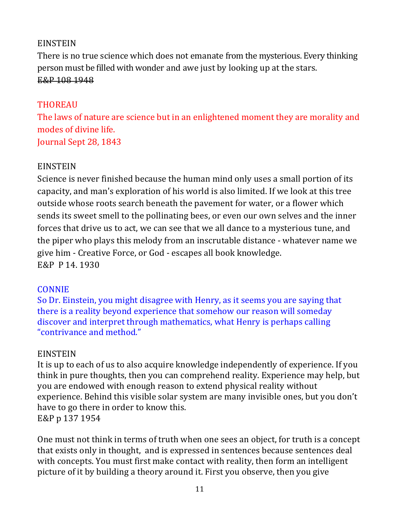## EINSTEIN

There is no true science which does not emanate from the mysterious. Every thinking person must be filled with wonder and awe just by looking up at the stars. E&P 108 1948

## THOREAU

The laws of nature are science but in an enlightened moment they are morality and modes of divine life. Journal Sept 28, 1843

## **EINSTEIN**

Science is never finished because the human mind only uses a small portion of its capacity, and man's exploration of his world is also limited. If we look at this tree outside whose roots search beneath the pavement for water, or a flower which sends its sweet smell to the pollinating bees, or even our own selves and the inner forces that drive us to act, we can see that we all dance to a mysterious tune, and the piper who plays this melody from an inscrutable distance - whatever name we give him - Creative Force, or God - escapes all book knowledge. E&P P 14.1930

#### CONNIE

So Dr. Einstein, you might disagree with Henry, as it seems you are saying that there is a reality beyond experience that somehow our reason will someday discover and interpret through mathematics, what Henry is perhaps calling "contrivance and method."

#### EINSTEIN

It is up to each of us to also acquire knowledge independently of experience. If you think in pure thoughts, then you can comprehend reality. Experience may help, but you are endowed with enough reason to extend physical reality without experience. Behind this visible solar system are many invisible ones, but you don't have to go there in order to know this. E&P p 137 1954

One must not think in terms of truth when one sees an object, for truth is a concept that exists only in thought, and is expressed in sentences because sentences deal with concepts. You must first make contact with reality, then form an intelligent picture of it by building a theory around it. First you observe, then you give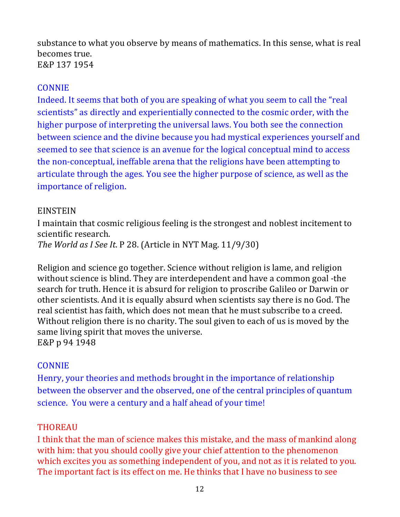substance to what you observe by means of mathematics. In this sense, what is real becomes true. E&P 137 1954

### **CONNIE**

Indeed. It seems that both of you are speaking of what you seem to call the "real scientists" as directly and experientially connected to the cosmic order, with the higher purpose of interpreting the universal laws. You both see the connection between science and the divine because you had mystical experiences yourself and seemed to see that science is an avenue for the logical conceptual mind to access the non-conceptual, ineffable arena that the religions have been attempting to articulate through the ages. You see the higher purpose of science, as well as the importance of religion.

### EINSTEIN

I maintain that cosmic religious feeling is the strongest and noblest incitement to scientific research. *The World as I See It. P 28. (Article in NYT Mag. 11/9/30)* 

Religion and science go together. Science without religion is lame, and religion without science is blind. They are interdependent and have a common goal -the search for truth. Hence it is absurd for religion to proscribe Galileo or Darwin or other scientists. And it is equally absurd when scientists say there is no God. The real scientist has faith, which does not mean that he must subscribe to a creed. Without religion there is no charity. The soul given to each of us is moved by the same living spirit that moves the universe. E&P p 94 1948

## CONNIE

Henry, your theories and methods brought in the importance of relationship between the observer and the observed, one of the central principles of quantum science. You were a century and a half ahead of your time!

## THOREAU

I think that the man of science makes this mistake, and the mass of mankind along with him: that you should coolly give your chief attention to the phenomenon which excites you as something independent of you, and not as it is related to you. The important fact is its effect on me. He thinks that I have no business to see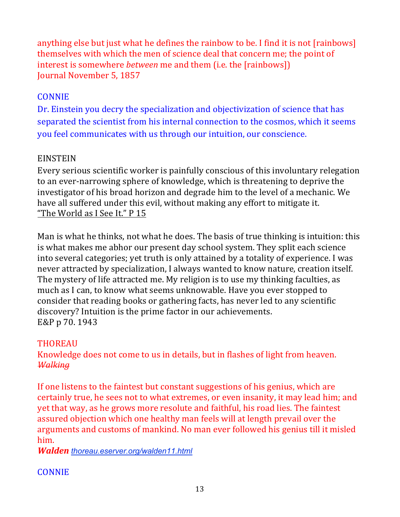anything else but just what he defines the rainbow to be. I find it is not [rainbows] themselves with which the men of science deal that concern me; the point of interest is somewhere *between* me and them (i.e. the [rainbows]) Journal November 5, 1857

## **CONNIE**

Dr. Einstein you decry the specialization and objectivization of science that has separated the scientist from his internal connection to the cosmos, which it seems you feel communicates with us through our intuition, our conscience.

## **EINSTEIN**

Every serious scientific worker is painfully conscious of this involuntary relegation to an ever-narrowing sphere of knowledge, which is threatening to deprive the investigator of his broad horizon and degrade him to the level of a mechanic. We have all suffered under this evil, without making any effort to mitigate it. "The World as I See It." P 15

Man is what he thinks, not what he does. The basis of true thinking is intuition: this is what makes me abhor our present day school system. They split each science into several categories; yet truth is only attained by a totality of experience. I was never attracted by specialization, I always wanted to know nature, creation itself. The mystery of life attracted me. My religion is to use my thinking faculties, as much as I can, to know what seems unknowable. Have you ever stopped to consider that reading books or gathering facts, has never led to any scientific discovery? Intuition is the prime factor in our achievements. E&P p 70. 1943

## THOREAU

Knowledge does not come to us in details, but in flashes of light from heaven. *Walking*

If one listens to the faintest but constant suggestions of his genius, which are certainly true, he sees not to what extremes, or even insanity, it may lead him; and yet that way, as he grows more resolute and faithful, his road lies. The faintest assured objection which one healthy man feels will at length prevail over the arguments and customs of mankind. No man ever followed his genius till it misled him. 

*Walden thoreau.eserver.org/walden11.html*

#### CONNIE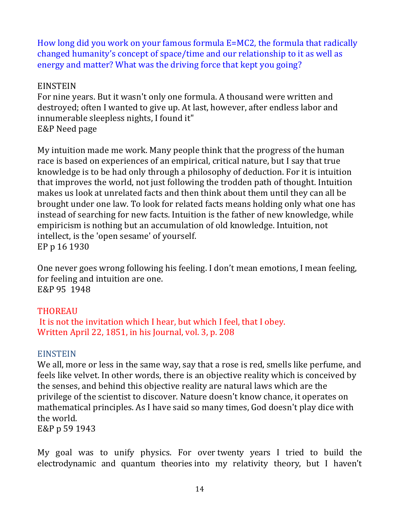How long did you work on your famous formula E=MC2, the formula that radically changed humanity's concept of space/time and our relationship to it as well as energy and matter? What was the driving force that kept you going?

#### **EINSTEIN**

For nine years. But it wasn't only one formula. A thousand were written and destroyed; often I wanted to give up. At last, however, after endless labor and innumerable sleepless nights, I found it" E&P Need page

My intuition made me work. Many people think that the progress of the human race is based on experiences of an empirical, critical nature, but I say that true knowledge is to be had only through a philosophy of deduction. For it is intuition that improves the world, not just following the trodden path of thought. Intuition makes us look at unrelated facts and then think about them until they can all be brought under one law. To look for related facts means holding only what one has instead of searching for new facts. Intuition is the father of new knowledge, while empiricism is nothing but an accumulation of old knowledge. Intuition, not intellect, is the 'open sesame' of yourself. EP p 16 1930

One never goes wrong following his feeling. I don't mean emotions, I mean feeling, for feeling and intuition are one. E&P 95 1948

#### **THOREAU**

It is not the invitation which I hear, but which I feel, that I obey. Written April 22, 1851, in his Journal, vol. 3, p. 208

#### **EINSTEIN**

We all, more or less in the same way, say that a rose is red, smells like perfume, and feels like velvet. In other words, there is an objective reality which is conceived by the senses, and behind this objective reality are natural laws which are the privilege of the scientist to discover. Nature doesn't know chance, it operates on mathematical principles. As I have said so many times, God doesn't play dice with the world.

E&P p 59 1943

My goal was to unify physics. For over twenty years I tried to build the electrodynamic and quantum theories into my relativity theory, but I haven't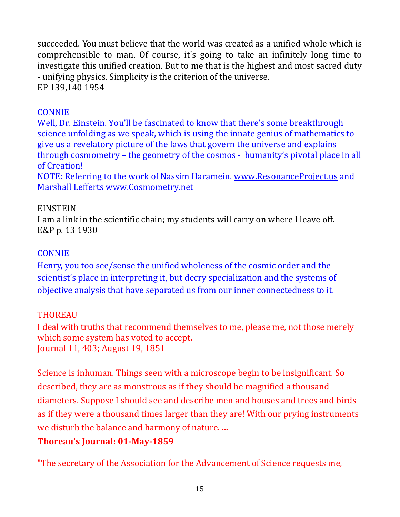succeeded. You must believe that the world was created as a unified whole which is comprehensible to man. Of course, it's going to take an infinitely long time to investigate this unified creation. But to me that is the highest and most sacred duty - unifying physics. Simplicity is the criterion of the universe. EP 139,140 1954

### **CONNIE**

Well, Dr. Einstein. You'll be fascinated to know that there's some breakthrough science unfolding as we speak, which is using the innate genius of mathematics to give us a revelatory picture of the laws that govern the universe and explains through cosmometry – the geometry of the cosmos - humanity's pivotal place in all of Creation!

NOTE: Referring to the work of Nassim Haramein. www.ResonanceProject.us and Marshall Lefferts www.Cosmometry.net

#### **EINSTEIN**

I am a link in the scientific chain; my students will carry on where I leave off. E&P p. 13 1930

## **CONNIE**

Henry, you too see/sense the unified wholeness of the cosmic order and the scientist's place in interpreting it, but decry specialization and the systems of objective analysis that have separated us from our inner connectedness to it.

## THOREAU

I deal with truths that recommend themselves to me, please me, not those merely which some system has voted to accept. Journal 11, 403; August 19, 1851

Science is inhuman. Things seen with a microscope begin to be insignificant. So described, they are as monstrous as if they should be magnified a thousand diameters. Suppose I should see and describe men and houses and trees and birds as if they were a thousand times larger than they are! With our prying instruments we disturb the balance and harmony of nature. ...

## **Thoreau's Journal: 01-May-1859**

"The secretary of the Association for the Advancement of Science requests me,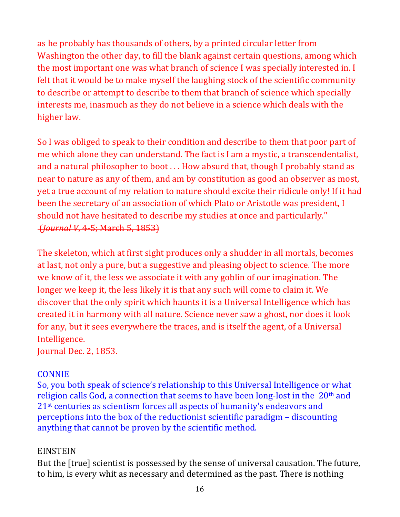as he probably has thousands of others, by a printed circular letter from Washington the other day, to fill the blank against certain questions, among which the most important one was what branch of science I was specially interested in. I felt that it would be to make myself the laughing stock of the scientific community to describe or attempt to describe to them that branch of science which specially interests me, inasmuch as they do not believe in a science which deals with the higher law.

So I was obliged to speak to their condition and describe to them that poor part of me which alone they can understand. The fact is I am a mystic, a transcendentalist, and a natural philosopher to boot  $\dots$  How absurd that, though I probably stand as near to nature as any of them, and am by constitution as good an observer as most, yet a true account of my relation to nature should excite their ridicule only! If it had been the secretary of an association of which Plato or Aristotle was president, I should not have hesitated to describe my studies at once and particularly." (*Journal V*, 4-5; March 5, 1853)

The skeleton, which at first sight produces only a shudder in all mortals, becomes at last, not only a pure, but a suggestive and pleasing object to science. The more we know of it, the less we associate it with any goblin of our imagination. The longer we keep it, the less likely it is that any such will come to claim it. We discover that the only spirit which haunts it is a Universal Intelligence which has created it in harmony with all nature. Science never saw a ghost, nor does it look for any, but it sees everywhere the traces, and is itself the agent, of a Universal Intelligence.

Journal Dec. 2, 1853.

#### **CONNIE**

So, you both speak of science's relationship to this Universal Intelligence or what religion calls God, a connection that seems to have been long-lost in the  $20<sup>th</sup>$  and 21<sup>st</sup> centuries as scientism forces all aspects of humanity's endeavors and perceptions into the box of the reductionist scientific paradigm – discounting anything that cannot be proven by the scientific method.

## EINSTEIN

But the [true] scientist is possessed by the sense of universal causation. The future, to him, is every whit as necessary and determined as the past. There is nothing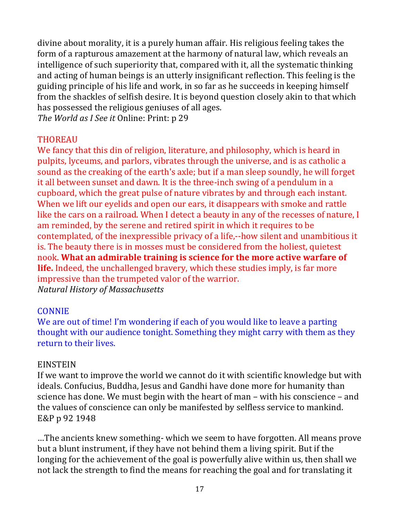divine about morality, it is a purely human affair. His religious feeling takes the form of a rapturous amazement at the harmony of natural law, which reveals an intelligence of such superiority that, compared with it, all the systematic thinking and acting of human beings is an utterly insignificant reflection. This feeling is the guiding principle of his life and work, in so far as he succeeds in keeping himself from the shackles of selfish desire. It is beyond question closely akin to that which has possessed the religious geniuses of all ages.

*The World as I See it Online: Print: p 29* 

### THOREAU

We fancy that this din of religion, literature, and philosophy, which is heard in pulpits, lyceums, and parlors, vibrates through the universe, and is as catholic a sound as the creaking of the earth's axle; but if a man sleep soundly, he will forget it all between sunset and dawn. It is the three-inch swing of a pendulum in a cupboard, which the great pulse of nature vibrates by and through each instant. When we lift our eyelids and open our ears, it disappears with smoke and rattle like the cars on a railroad. When I detect a beauty in any of the recesses of nature, I am reminded, by the serene and retired spirit in which it requires to be contemplated, of the inexpressible privacy of a life,--how silent and unambitious it is. The beauty there is in mosses must be considered from the holiest, quietest nook. What an admirable training is science for the more active warfare of **life.** Indeed, the unchallenged bravery, which these studies imply, is far more impressive than the trumpeted valor of the warrior. *Natural History of Massachusetts*

#### CONNIE

We are out of time! I'm wondering if each of you would like to leave a parting thought with our audience tonight. Something they might carry with them as they return to their lives.

#### EINSTEIN

If we want to improve the world we cannot do it with scientific knowledge but with ideals. Confucius, Buddha, Jesus and Gandhi have done more for humanity than science has done. We must begin with the heart of man – with his conscience – and the values of conscience can only be manifested by selfless service to mankind. E&P p 92 1948

...The ancients knew something- which we seem to have forgotten. All means prove but a blunt instrument, if they have not behind them a living spirit. But if the longing for the achievement of the goal is powerfully alive within us, then shall we not lack the strength to find the means for reaching the goal and for translating it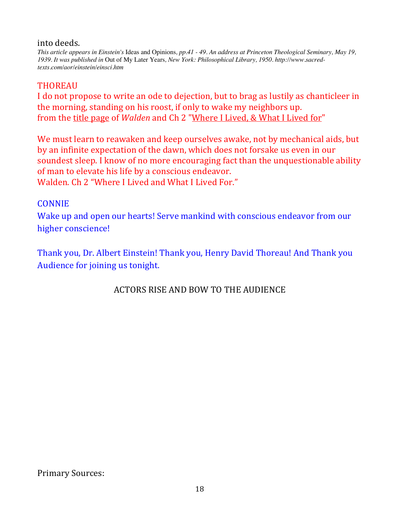#### into deeds.

*This article appears in Einstein's* Ideas and Opinions*, pp.41 - 49. An address at Princeton Theological Seminary, May 19, 1939. It was published in* Out of My Later Years*, New York: Philosophical Library, 1950. http://www.sacredtexts.com/aor/einstein/einsci.htm*

#### THOREAU

I do not propose to write an ode to dejection, but to brag as lustily as chanticleer in the morning, standing on his roost, if only to wake my neighbors up. from the title page of *Walden* and Ch 2 "Where I Lived, & What I Lived for"

We must learn to reawaken and keep ourselves awake, not by mechanical aids, but by an infinite expectation of the dawn, which does not forsake us even in our soundest sleep. I know of no more encouraging fact than the unquestionable ability of man to elevate his life by a conscious endeavor. Walden. Ch 2 "Where I Lived and What I Lived For."

#### CONNIE

Wake up and open our hearts! Serve mankind with conscious endeavor from our higher conscience!

Thank you, Dr. Albert Einstein! Thank you, Henry David Thoreau! And Thank you Audience for joining us tonight.

ACTORS RISE AND BOW TO THE AUDIENCE

Primary Sources: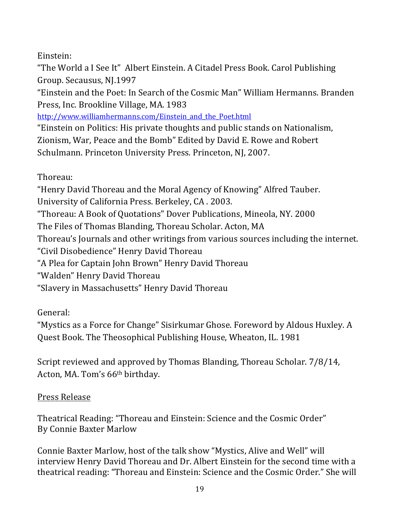Einstein:

"The World a I See It" Albert Einstein. A Citadel Press Book. Carol Publishing Group. Secausus, NJ.1997

"Einstein and the Poet: In Search of the Cosmic Man" William Hermanns. Branden Press, Inc. Brookline Village, MA. 1983

http://www.williamhermanns.com/Einstein and the Poet.html

"Einstein on Politics: His private thoughts and public stands on Nationalism, Zionism, War, Peace and the Bomb" Edited by David E. Rowe and Robert Schulmann. Princeton University Press. Princeton, NJ, 2007.

Thoreau:

"Henry David Thoreau and the Moral Agency of Knowing" Alfred Tauber. University of California Press. Berkeley, CA. 2003.

"Thoreau: A Book of Quotations" Dover Publications, Mineola, NY. 2000

The Files of Thomas Blanding, Thoreau Scholar. Acton, MA

Thoreau's Journals and other writings from various sources including the internet.

"Civil Disobedience" Henry David Thoreau

"A Plea for Captain John Brown" Henry David Thoreau

"Walden" Henry David Thoreau

"Slavery in Massachusetts" Henry David Thoreau

General:

"Mystics as a Force for Change" Sisirkumar Ghose. Foreword by Aldous Huxley. A Quest Book. The Theosophical Publishing House, Wheaton, IL. 1981

Script reviewed and approved by Thomas Blanding, Thoreau Scholar. 7/8/14, Acton, MA. Tom's 66<sup>th</sup> birthday.

Press Release

Theatrical Reading: "Thoreau and Einstein: Science and the Cosmic Order" By Connie Baxter Marlow

Connie Baxter Marlow, host of the talk show "Mystics, Alive and Well" will interview Henry David Thoreau and Dr. Albert Einstein for the second time with a theatrical reading: "Thoreau and Einstein: Science and the Cosmic Order." She will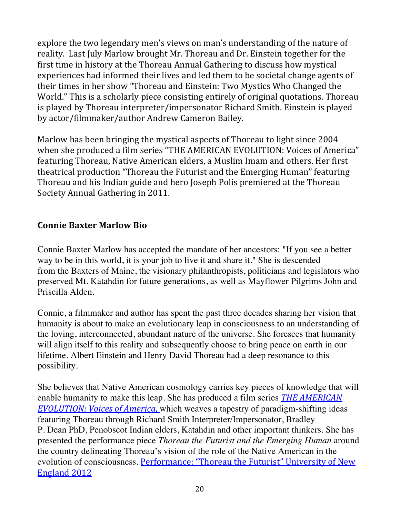explore the two legendary men's views on man's understanding of the nature of reality. Last July Marlow brought Mr. Thoreau and Dr. Einstein together for the first time in history at the Thoreau Annual Gathering to discuss how mystical experiences had informed their lives and led them to be societal change agents of their times in her show "Thoreau and Einstein: Two Mystics Who Changed the World." This is a scholarly piece consisting entirely of original quotations. Thoreau is played by Thoreau interpreter/impersonator Richard Smith. Einstein is played by actor/filmmaker/author Andrew Cameron Bailey.

Marlow has been bringing the mystical aspects of Thoreau to light since 2004 when she produced a film series "THE AMERICAN EVOLUTION: Voices of America" featuring Thoreau, Native American elders, a Muslim Imam and others. Her first theatrical production "Thoreau the Futurist and the Emerging Human" featuring Thoreau and his Indian guide and hero Joseph Polis premiered at the Thoreau Society Annual Gathering in 2011.

### **Connie Baxter Marlow Bio**

Connie Baxter Marlow has accepted the mandate of her ancestors: "If you see a better way to be in this world, it is your job to live it and share it." She is descended from the Baxters of Maine, the visionary philanthropists, politicians and legislators who preserved Mt. Katahdin for future generations, as well as Mayflower Pilgrims John and Priscilla Alden.

Connie, a filmmaker and author has spent the past three decades sharing her vision that humanity is about to make an evolutionary leap in consciousness to an understanding of the loving, interconnected, abundant nature of the universe. She foresees that humanity will align itself to this reality and subsequently choose to bring peace on earth in our lifetime. Albert Einstein and Henry David Thoreau had a deep resonance to this possibility.

She believes that Native American cosmology carries key pieces of knowledge that will enable humanity to make this leap. She has produced a film series **THE AMERICAN** *EVOLUTION: Voices of America*, which weaves a tapestry of paradigm-shifting ideas featuring Thoreau through Richard Smith Interpreter/Impersonator, Bradley P. Dean PhD, Penobscot Indian elders, Katahdin and other important thinkers. She has presented the performance piece *Thoreau the Futurist and the Emerging Human* around the country delineating Thoreau's vision of the role of the Native American in the evolution of consciousness. Performance: "Thoreau the Futurist" University of New England 2012